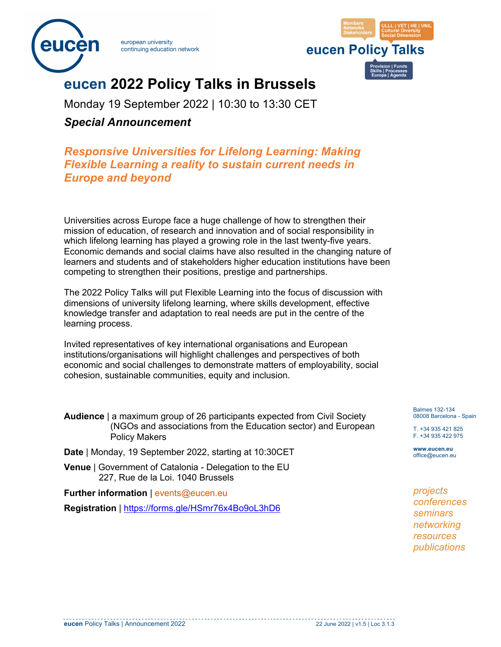

european university continuing education network



# **eucen 2022 Policy Talks in Brussels**

Monday 19 September 2022 | 10:30 to 13:30 CET

*Special Announcement*

## *Responsive Universities for Lifelong Learning: Making Flexible Learning a reality to sustain current needs in Europe and beyond*

Universities across Europe face a huge challenge of how to strengthen their mission of education, of research and innovation and of social responsibility in which lifelong learning has played a growing role in the last twenty-five years. Economic demands and social claims have also resulted in the changing nature of learners and students and of stakeholders higher education institutions have been competing to strengthen their positions, prestige and partnerships.

The 2022 Policy Talks will put Flexible Learning into the focus of discussion with dimensions of university lifelong learning, where skills development, effective knowledge transfer and adaptation to real needs are put in the centre of the learning process.

Invited representatives of key international organisations and European institutions/organisations will highlight challenges and perspectives of both economic and social challenges to demonstrate matters of employability, social cohesion, sustainable communities, equity and inclusion.

| <b>Audience</b>   a maximum group of 26 participants expected from Civil Society |
|----------------------------------------------------------------------------------|
| (NGOs and associations from the Education sector) and European                   |
| <b>Policy Makers</b>                                                             |

- **Date** | Monday, 19 September 2022, starting at 10:30CET
- **Venue** | Government of Catalonia Delegation to the EU 227, Rue de la Loi. 1040 Brussels
- **Further information** | events@eucen.eu

**Registration** | https://forms.gle/HSmr76x4Bo9oL3hD6

Balmes 132-134 08008 Barcelona - Spain

T. +34 935 421 825 F. +34 935 422 975

**www.eucen.eu** office@eucen.eu

*projects conferences seminars networking resources publications*